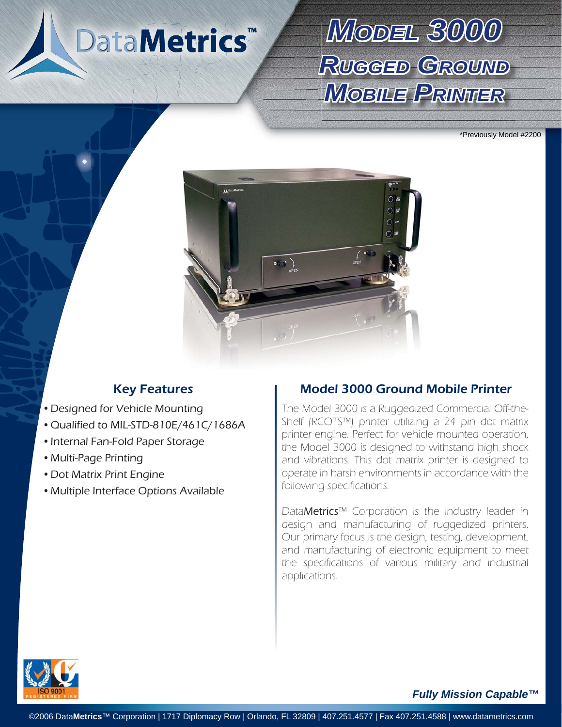# DataMetrics<sup>™</sup>

# *MODEL3000* **RUGGED GROUND** *MOBILEPRINTER*

\*Previously Model #2200



- Designed for Vehicle Mounting
- Qualified to MIL-STD-810E/461C/1686A
- Internal Fan-Fold Paper Storage
- Multi-Page Printing •
- Dot Matrix Print Engine
- Multiple Interface Options Available •

## Key Features **Model 3000 Ground Mobile Printer**

The Model 3000 is a Ruggedized Commercial Off-the-Shelf (RCOTS™) printer utilizing a 24 pin dot matrix printer engine. Perfect for vehicle mounted operation, the Model 3000 is designed to withstand high shock and vibrations. This dot matrix printer is designed to operate in harsh environments in accordance with the following specifications.

DataMetrics™ Corporation is the industry leader in design and manufacturing of ruggedized printers. Our primary focus is the design, testing, development, and manufacturing of electronic equipment to meet the specifications of various military and industrial applications.



*Fully Mission Capable™*